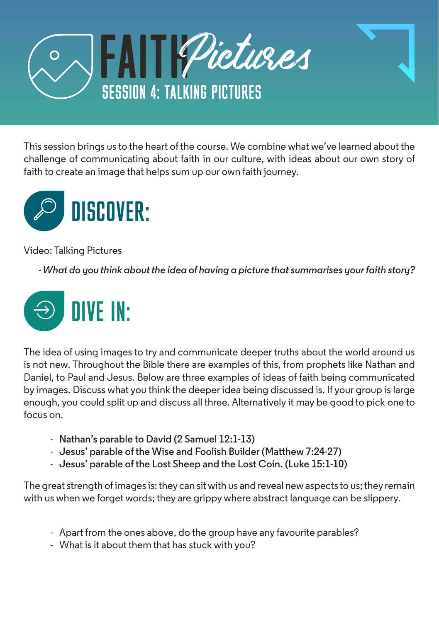

This session brings us to the heart of the course. We combine what we've learned about the challenge of communicating about faith in our culture, with ideas about our own story of faith to create an image that helps sum up our own faith journey.



Video: Talking Pictures

*- What do you think about the idea of having a picture that summarises your faith story?* 



The idea of using images to try and communicate deeper truths about the world around us is not new. Throughout the Bible there are examples of this, from prophets like Nathan and Daniel, to Paul and Jesus. Below are three examples of ideas of faith being communicated by images. Discuss what you think the deeper idea being discussed is. If your group is large enough, you could split up and discuss all three. Alternatively it may be good to pick one to focus on.

- **Nathan's parable to David (2 Samuel 12:1-13)**
- **Jesus' parable of the Wise and Foolish Builder (Matthew 7:24-27)**
- **Jesus' parable of the Lost Sheep and the Lost Coin. (Luke 15:1-10)**

The great strength of images is: they can sit with us and reveal new aspects to us; they remain with us when we forget words; they are grippy where abstract language can be slippery.

- Apart from the ones above, do the group have any favourite parables?
- What is it about them that has stuck with you?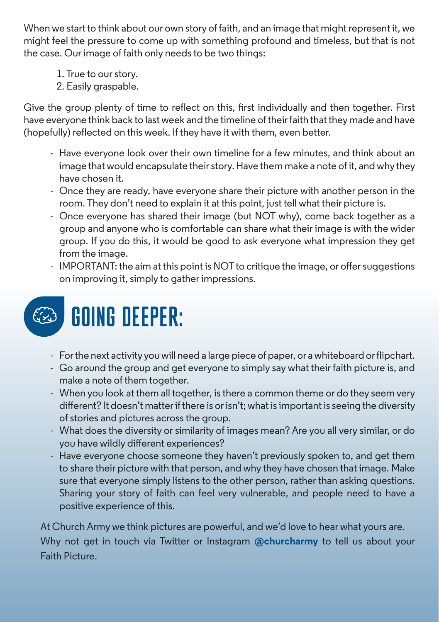When we start to think about our own story of faith, and an image that might represent it, we might feel the pressure to come up with something profound and timeless, but that is not the case. Our image of faith only needs to be two things:

- 1. True to our story.
- 2. Easily graspable.

Give the group plenty of time to reflect on this, first individually and then together. First have everyone think back to last week and the timeline of their faith that they made and have (hopefully) reflected on this week. If they have it with them, even better.

- Have everyone look over their own timeline for a few minutes, and think about an image that would encapsulate their story. Have them make a note of it, and why they have chosen it.
- Once they are ready, have everyone share their picture with another person in the room. They don't need to explain it at this point, just tell what their picture is.
- Once everyone has shared their image (but NOT why), come back together as a group and anyone who is comfortable can share what their image is with the wider group. If you do this, it would be good to ask everyone what impression they get from the image.
- IMPORTANT: the aim at this point is NOT to critique the image, or offer suggestions on improving it, simply to gather impressions.



- For the next activity you will need a large piece of paper, or a whiteboard or flipchart.
- Go around the group and get everyone to simply say what their faith picture is, and make a note of them together.
- When you look at them all together, is there a common theme or do they seem very different? It doesn't matter if there is or isn't; what is important is seeing the diversity of stories and pictures across the group.
- What does the diversity or similarity of images mean? Are you all very similar, or do you have wildly different experiences?
- Have everyone choose someone they haven't previously spoken to, and get them to share their picture with that person, and why they have chosen that image. Make sure that everyone simply listens to the other person, rather than asking questions. Sharing your story of faith can feel very vulnerable, and people need to have a positive experience of this.

At Church Army we think pictures are powerful, and we'd love to hear what yours are. Why not get in touch via Twitter or Instagram **@churcharmy** to tell us about your Faith Picture.